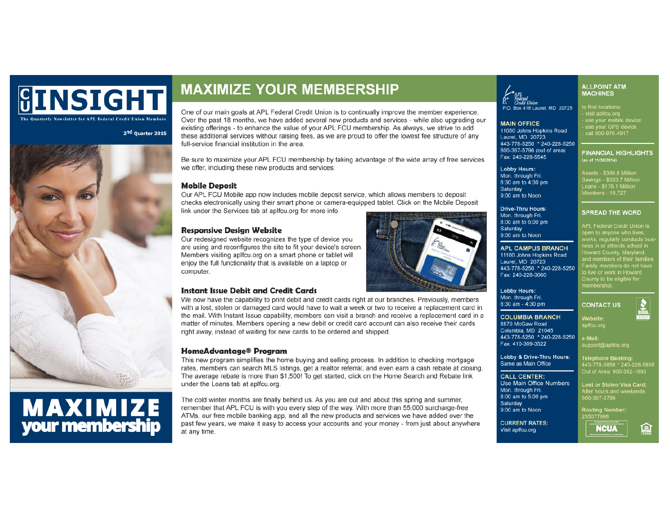## **GINSIGHT** The Quarterly Newsletter for APL Federal Credit Union Members

2<sup>nd</sup> Quarter 2015



# **MAXIMIZE**<br>your membership

## **MAXIMIZE YOUR MEMBERSHIP**

One of our main goals at APL Federal Credit Union is to continually improve the member experience. Over the past 18 months, we have added several new products and services - while also upgrading our existing offerings - to enhance the value of your APL FCU membership. As always, we strive to add these additional services without raising fees, as we are proud to offer the lowest fee structure of any full-service financial institution in the area

Be sure to maximize your APL FCU membership by taking advantage of the wide array of free services we offer, including these new products and services:

## **Mobile Deposit**

Our APL FCU Mobile app now includes mobile deposit service, which allows members to deposit checks electronically using their smart phone or camera-equipped tablet. Click on the Mobile Deposit link under the Services tab at aplfcu.org for more info.

## **Responsive Design Website**

Our redesigned website recognizes the type of device you are using and reconfigures the site to fit your device's screen. Members visiting aplfcu.org on a smart phone or tablet will enjoy the full functionality that is available on a laptop or computer.

## **Instant Issue Debit and Credit Cards**

We now have the capability to print debit and credit cards right at our branches. Previously, members with a lost, stolen or damaged card would have to wait a week or two to receive a replacement card in the mail. With Instant Issue capability, members can visit a branch and receive a replacement card in a matter of minutes. Members opening a new debit or credit card account can also receive their cards right away, instead of waiting for new cards to be ordered and shipped.

### HomeAdvantage® Program

This new program simplifies the home buying and selling process. In addition to checking mortgage rates, members can search MLS listings, get a realtor referral, and even earn a cash rebate at closing. The average rebate is more than \$1,500! To get started, click on the Home Search and Rebate link under the Loans tab at aplfcu.org.

The cold winter months are finally behind us. As you are out and about this spring and summer, remember that APL FCU is with you every step of the way. With more than 55,000 surcharge-free ATMs, our free mobile banking app, and all the new products and services we have added over the past few years, we make it easy to access your accounts and your money - from just about anywhere at any time.

## Federal<br>Credit Union

...<br>P.O. Box 418 Laurel. MD 20725

**MAIN OFFICE** 11050 Johns Hopkins Road Laurel, MD 20723 443-778-5250 \* 240-228-5250 800-367-5796 (out of area) Fax: 240-228-5545

**Lobby Hours:** Mon. through Fri. 8:30 am to 4:30 pm Saturday 9:00 am to Noon

**Drive-Thru Hours:** Mon. through Fri. 8:00 am to 6:00 pm Saturdav 9:00 am to Noon

## **APL CAMPUS BRANCH**

11100 Johns Hopkins Road Laurel, MD 20723 443-778-5250 \* 240-228-5250 Fax: 240-228-3060

**Lobby Hours:** Mon. through Fri. 8:30 am - 4:30 pm

## **COLUMBIA BRANCH** 8870 McGaw Road

Website: aplfcu.org Columbia, MD 21045 443-778-5250 \* 240-228-5250 e-Mail:

> support@aplfcu.org **Telephone Banking:**

800-367-5796

255077998

443-778-5858 \* 240-228-5858

Out of Area: 800-382-1993

Lost or Stolen Visa Card:

**CONTACT US** 

**ALLPOINT ATM**<br>MACHINES

to find locations:

(as of 11/30/2014)

isit anlfou or - visit apircu.org<br>- use your mobile device<br>- use your GPS device

call 800-976-4917

Assets - \$399.8 Million<br>Savings - \$353.7 Millio<br>Loans - \$176.1 Million

**SPREAD THE WORD** 

APL Federal Credit Union is

iess in or attends schoo<mark>l in</mark><br>Howard County, Maryland,<br>and members of their familie

nd members of their fan<br>'amily members do not h<br>b live or work in Howard

County to be eligible for membership.

Members - 19,727

**FINANCIAL HIGHLIGHTS** 

Lobby & Drive-Thru Hours: Same as Main Office

### **CALL CENTER:**

Use Main Office Numbers Mon. through Fri. 8:00 am to 5:00 pm Saturday

Fax: 410-309-3522

9:00 am to Noon

**CURRENT RATES:** Visit aplfcu.org